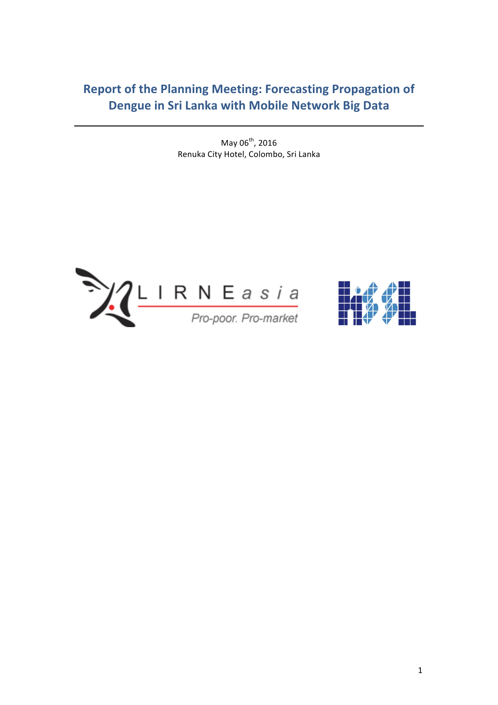# **Report of the Planning Meeting: Forecasting Propagation of Dengue in Sri Lanka with Mobile Network Big Data**

May  $06^{th}$ , 2016 Renuka City Hotel, Colombo, Sri Lanka



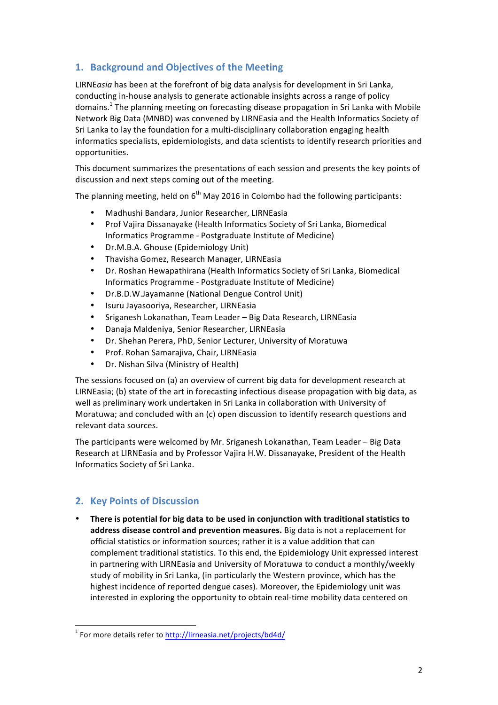# **1. Background and Objectives of the Meeting**

LIRNE*asia* has been at the forefront of big data analysis for development in Sri Lanka, conducting in-house analysis to generate actionable insights across a range of policy domains.<sup>1</sup> The planning meeting on forecasting disease propagation in Sri Lanka with Mobile Network Big Data (MNBD) was convened by LIRNEasia and the Health Informatics Society of Sri Lanka to lay the foundation for a multi-disciplinary collaboration engaging health informatics specialists, epidemiologists, and data scientists to identify research priorities and opportunities. 

This document summarizes the presentations of each session and presents the key points of discussion and next steps coming out of the meeting.

The planning meeting, held on  $6<sup>th</sup>$  May 2016 in Colombo had the following participants:

- Madhushi Bandara, Junior Researcher, LIRNEasia
- Prof Vajira Dissanayake (Health Informatics Society of Sri Lanka, Biomedical Informatics Programme - Postgraduate Institute of Medicine)
- Dr.M.B.A. Ghouse (Epidemiology Unit)
- Thavisha Gomez, Research Manager, LIRNEasia
- Dr. Roshan Hewapathirana (Health Informatics Society of Sri Lanka, Biomedical Informatics Programme - Postgraduate Institute of Medicine)
- Dr.B.D.W.Jayamanne (National Dengue Control Unit)
- Isuru Jayasooriya, Researcher, LIRNEasia
- Sriganesh Lokanathan, Team Leader Big Data Research, LIRNEasia
- Danaja Maldeniya, Senior Researcher, LIRNEasia
- Dr. Shehan Perera, PhD, Senior Lecturer, University of Moratuwa
- Prof. Rohan Samarajiva, Chair, LIRNEasia
- Dr. Nishan Silva (Ministry of Health)

The sessions focused on (a) an overview of current big data for development research at LIRNEasia; (b) state of the art in forecasting infectious disease propagation with big data, as well as preliminary work undertaken in Sri Lanka in collaboration with University of Moratuwa; and concluded with an (c) open discussion to identify research questions and relevant data sources.

The participants were welcomed by Mr. Sriganesh Lokanathan, Team Leader  $-$  Big Data Research at LIRNEasia and by Professor Vajira H.W. Dissanayake, President of the Health Informatics Society of Sri Lanka. 

## **2. Key Points of Discussion**

There is potential for big data to be used in conjunction with traditional statistics to address disease control and prevention measures. Big data is not a replacement for official statistics or information sources; rather it is a value addition that can complement traditional statistics. To this end, the Epidemiology Unit expressed interest in partnering with LIRNEasia and University of Moratuwa to conduct a monthly/weekly study of mobility in Sri Lanka, (in particularly the Western province, which has the highest incidence of reported dengue cases). Moreover, the Epidemiology unit was interested in exploring the opportunity to obtain real-time mobility data centered on

<sup>&</sup>lt;sup>1</sup> For more details refer to http://lirneasia.net/projects/bd4d/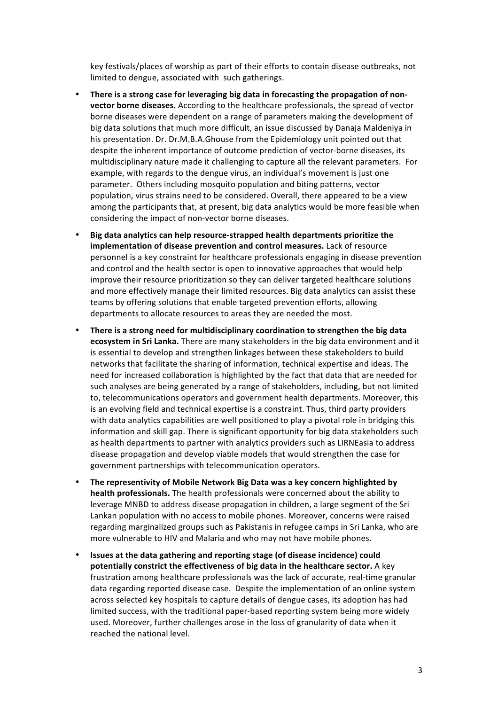key festivals/places of worship as part of their efforts to contain disease outbreaks, not limited to dengue, associated with such gatherings.

- There is a strong case for leveraging big data in forecasting the propagation of non**vector borne diseases.** According to the healthcare professionals, the spread of vector borne diseases were dependent on a range of parameters making the development of big data solutions that much more difficult, an issue discussed by Danaja Maldeniya in his presentation. Dr. Dr.M.B.A.Ghouse from the Epidemiology unit pointed out that despite the inherent importance of outcome prediction of vector-borne diseases, its multidisciplinary nature made it challenging to capture all the relevant parameters. For example, with regards to the dengue virus, an individual's movement is just one parameter. Others including mosquito population and biting patterns, vector population, virus strains need to be considered. Overall, there appeared to be a view among the participants that, at present, big data analytics would be more feasible when considering the impact of non-vector borne diseases.
- **Big data analytics can help resource-strapped health departments prioritize the implementation of disease prevention and control measures.** Lack of resource personnel is a key constraint for healthcare professionals engaging in disease prevention and control and the health sector is open to innovative approaches that would help improve their resource prioritization so they can deliver targeted healthcare solutions and more effectively manage their limited resources. Big data analytics can assist these teams by offering solutions that enable targeted prevention efforts, allowing departments to allocate resources to areas they are needed the most.
- There is a strong need for multidisciplinary coordination to strengthen the big data **ecosystem in Sri Lanka.** There are many stakeholders in the big data environment and it is essential to develop and strengthen linkages between these stakeholders to build networks that facilitate the sharing of information, technical expertise and ideas. The need for increased collaboration is highlighted by the fact that data that are needed for such analyses are being generated by a range of stakeholders, including, but not limited to, telecommunications operators and government health departments. Moreover, this is an evolving field and technical expertise is a constraint. Thus, third party providers with data analytics capabilities are well positioned to play a pivotal role in bridging this information and skill gap. There is significant opportunity for big data stakeholders such as health departments to partner with analytics providers such as LIRNEasia to address disease propagation and develop viable models that would strengthen the case for government partnerships with telecommunication operators.
- The representivity of Mobile Network Big Data was a key concern highlighted by **health professionals.** The health professionals were concerned about the ability to leverage MNBD to address disease propagation in children, a large segment of the Sri Lankan population with no access to mobile phones. Moreover, concerns were raised regarding marginalized groups such as Pakistanis in refugee camps in Sri Lanka, who are more vulnerable to HIV and Malaria and who may not have mobile phones.
- **Issues at the data gathering and reporting stage (of disease incidence) could potentially constrict the effectiveness of big data in the healthcare sector.** A key frustration among healthcare professionals was the lack of accurate, real-time granular data regarding reported disease case. Despite the implementation of an online system across selected key hospitals to capture details of dengue cases, its adoption has had limited success, with the traditional paper-based reporting system being more widely used. Moreover, further challenges arose in the loss of granularity of data when it reached the national level.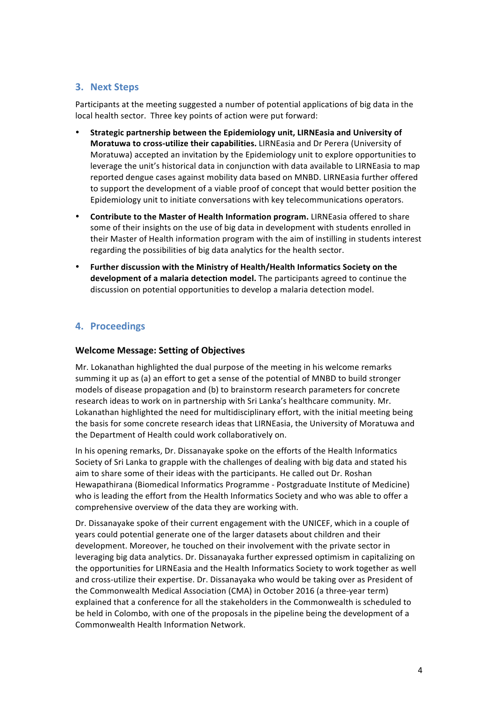### **3. Next Steps**

Participants at the meeting suggested a number of potential applications of big data in the local health sector. Three key points of action were put forward:

- Strategic partnership between the Epidemiology unit, LIRNEasia and University of **Moratuwa to cross-utilize their capabilities.** LIRNEasia and Dr Perera (University of Moratuwa) accepted an invitation by the Epidemiology unit to explore opportunities to leverage the unit's historical data in conjunction with data available to LIRNEasia to map reported dengue cases against mobility data based on MNBD. LIRNEasia further offered to support the development of a viable proof of concept that would better position the Epidemiology unit to initiate conversations with key telecommunications operators.
- Contribute to the Master of Health Information program. LIRNEasia offered to share some of their insights on the use of big data in development with students enrolled in their Master of Health information program with the aim of instilling in students interest regarding the possibilities of big data analytics for the health sector.
- Further discussion with the Ministry of Health/Health Informatics Society on the **development of a malaria detection model.** The participants agreed to continue the discussion on potential opportunities to develop a malaria detection model.

## **4. Proceedings**

#### **Welcome Message: Setting of Objectives**

Mr. Lokanathan highlighted the dual purpose of the meeting in his welcome remarks summing it up as (a) an effort to get a sense of the potential of MNBD to build stronger models of disease propagation and (b) to brainstorm research parameters for concrete research ideas to work on in partnership with Sri Lanka's healthcare community. Mr. Lokanathan highlighted the need for multidisciplinary effort, with the initial meeting being the basis for some concrete research ideas that LIRNEasia, the University of Moratuwa and the Department of Health could work collaboratively on.

In his opening remarks, Dr. Dissanayake spoke on the efforts of the Health Informatics Society of Sri Lanka to grapple with the challenges of dealing with big data and stated his aim to share some of their ideas with the participants. He called out Dr. Roshan Hewapathirana (Biomedical Informatics Programme - Postgraduate Institute of Medicine) who is leading the effort from the Health Informatics Society and who was able to offer a comprehensive overview of the data they are working with.

Dr. Dissanayake spoke of their current engagement with the UNICEF, which in a couple of years could potential generate one of the larger datasets about children and their development. Moreover, he touched on their involvement with the private sector in leveraging big data analytics. Dr. Dissanayaka further expressed optimism in capitalizing on the opportunities for LIRNEasia and the Health Informatics Society to work together as well and cross-utilize their expertise. Dr. Dissanayaka who would be taking over as President of the Commonwealth Medical Association (CMA) in October 2016 (a three-year term) explained that a conference for all the stakeholders in the Commonwealth is scheduled to be held in Colombo, with one of the proposals in the pipeline being the development of a Commonwealth Health Information Network.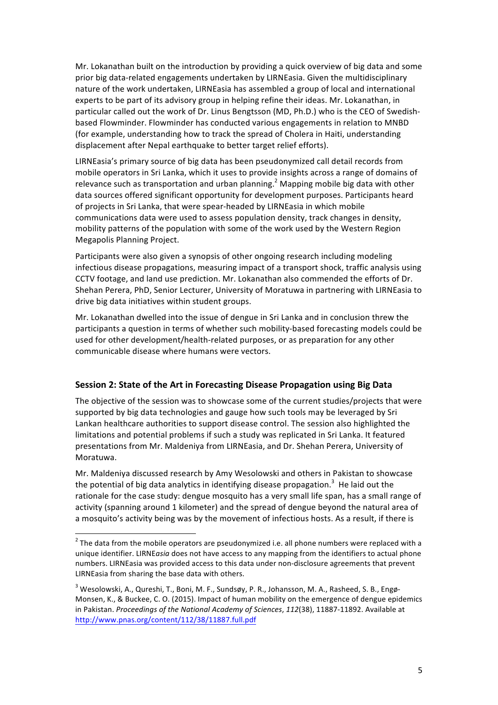Mr. Lokanathan built on the introduction by providing a quick overview of big data and some prior big data-related engagements undertaken by LIRNEasia. Given the multidisciplinary nature of the work undertaken, LIRNEasia has assembled a group of local and international experts to be part of its advisory group in helping refine their ideas. Mr. Lokanathan, in particular called out the work of Dr. Linus Bengtsson (MD, Ph.D.) who is the CEO of Swedishbased Flowminder. Flowminder has conducted various engagements in relation to MNBD (for example, understanding how to track the spread of Cholera in Haiti, understanding displacement after Nepal earthquake to better target relief efforts).

LIRNEasia's primary source of big data has been pseudonymized call detail records from mobile operators in Sri Lanka, which it uses to provide insights across a range of domains of relevance such as transportation and urban planning.<sup>2</sup> Mapping mobile big data with other data sources offered significant opportunity for development purposes. Participants heard of projects in Sri Lanka, that were spear-headed by LIRNEasia in which mobile communications data were used to assess population density, track changes in density, mobility patterns of the population with some of the work used by the Western Region Megapolis Planning Project.

Participants were also given a synopsis of other ongoing research including modeling infectious disease propagations, measuring impact of a transport shock, traffic analysis using CCTV footage, and land use prediction. Mr. Lokanathan also commended the efforts of Dr. Shehan Perera, PhD, Senior Lecturer, University of Moratuwa in partnering with LIRNEasia to drive big data initiatives within student groups.

Mr. Lokanathan dwelled into the issue of dengue in Sri Lanka and in conclusion threw the participants a question in terms of whether such mobility-based forecasting models could be used for other development/health-related purposes, or as preparation for any other communicable disease where humans were vectors.

#### **Session 2: State of the Art in Forecasting Disease Propagation using Big Data**

The objective of the session was to showcase some of the current studies/projects that were supported by big data technologies and gauge how such tools may be leveraged by Sri Lankan healthcare authorities to support disease control. The session also highlighted the limitations and potential problems if such a study was replicated in Sri Lanka. It featured presentations from Mr. Maldeniya from LIRNEasia, and Dr. Shehan Perera, University of Moratuwa.

Mr. Maldeniya discussed research by Amy Wesolowski and others in Pakistan to showcase the potential of big data analytics in identifying disease propagation.<sup>3</sup> He laid out the rationale for the case study: dengue mosquito has a very small life span, has a small range of activity (spanning around 1 kilometer) and the spread of dengue beyond the natural area of a mosquito's activity being was by the movement of infectious hosts. As a result, if there is

<u> 1989 - Jan Samuel Barbara, margaret e</u>

 $2$  The data from the mobile operators are pseudonymized i.e. all phone numbers were replaced with a unique identifier. LIRNEasia does not have access to any mapping from the identifiers to actual phone numbers. LIRNEasia was provided access to this data under non-disclosure agreements that prevent LIRNEasia from sharing the base data with others.

<sup>&</sup>lt;sup>3</sup> Wesolowski, A., Qureshi, T., Boni, M. F., Sundsøy, P. R., Johansson, M. A., Rasheed, S. B., Engø-Monsen, K., & Buckee, C. O. (2015). Impact of human mobility on the emergence of dengue epidemics in Pakistan. Proceedings of the National Academy of Sciences, 112(38), 11887-11892. Available at http://www.pnas.org/content/112/38/11887.full.pdf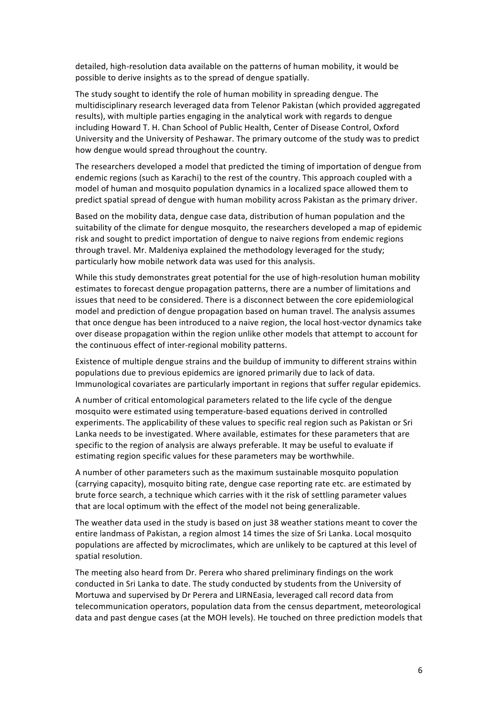detailed, high-resolution data available on the patterns of human mobility, it would be possible to derive insights as to the spread of dengue spatially.

The study sought to identify the role of human mobility in spreading dengue. The multidisciplinary research leveraged data from Telenor Pakistan (which provided aggregated results), with multiple parties engaging in the analytical work with regards to dengue including Howard T. H. Chan School of Public Health, Center of Disease Control, Oxford University and the University of Peshawar. The primary outcome of the study was to predict how dengue would spread throughout the country.

The researchers developed a model that predicted the timing of importation of dengue from endemic regions (such as Karachi) to the rest of the country. This approach coupled with a model of human and mosquito population dynamics in a localized space allowed them to predict spatial spread of dengue with human mobility across Pakistan as the primary driver.

Based on the mobility data, dengue case data, distribution of human population and the suitability of the climate for dengue mosquito, the researchers developed a map of epidemic risk and sought to predict importation of dengue to naive regions from endemic regions through travel. Mr. Maldeniya explained the methodology leveraged for the study; particularly how mobile network data was used for this analysis.

While this study demonstrates great potential for the use of high-resolution human mobility estimates to forecast dengue propagation patterns, there are a number of limitations and issues that need to be considered. There is a disconnect between the core epidemiological model and prediction of dengue propagation based on human travel. The analysis assumes that once dengue has been introduced to a naive region, the local host-vector dynamics take over disease propagation within the region unlike other models that attempt to account for the continuous effect of inter-regional mobility patterns.

Existence of multiple dengue strains and the buildup of immunity to different strains within populations due to previous epidemics are ignored primarily due to lack of data. Immunological covariates are particularly important in regions that suffer regular epidemics.

A number of critical entomological parameters related to the life cycle of the dengue mosquito were estimated using temperature-based equations derived in controlled experiments. The applicability of these values to specific real region such as Pakistan or Sri Lanka needs to be investigated. Where available, estimates for these parameters that are specific to the region of analysis are always preferable. It may be useful to evaluate if estimating region specific values for these parameters may be worthwhile.

A number of other parameters such as the maximum sustainable mosquito population (carrying capacity), mosquito biting rate, dengue case reporting rate etc. are estimated by brute force search, a technique which carries with it the risk of settling parameter values that are local optimum with the effect of the model not being generalizable.

The weather data used in the study is based on just 38 weather stations meant to cover the entire landmass of Pakistan, a region almost 14 times the size of Sri Lanka. Local mosquito populations are affected by microclimates, which are unlikely to be captured at this level of spatial resolution.

The meeting also heard from Dr. Perera who shared preliminary findings on the work conducted in Sri Lanka to date. The study conducted by students from the University of Mortuwa and supervised by Dr Perera and LIRNEasia, leveraged call record data from telecommunication operators, population data from the census department, meteorological data and past dengue cases (at the MOH levels). He touched on three prediction models that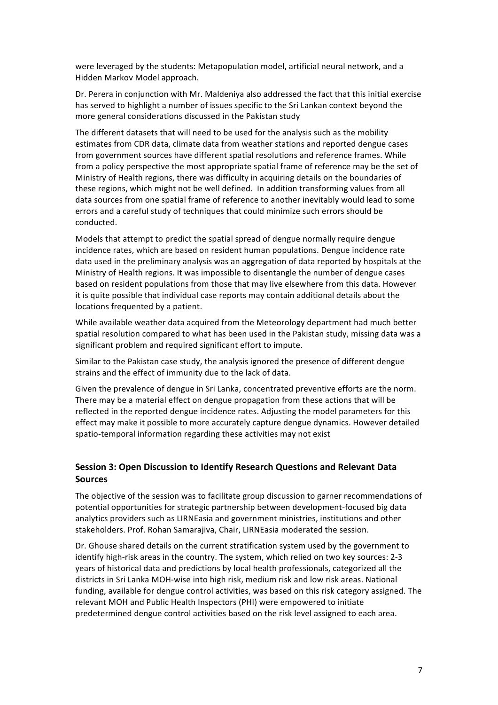were leveraged by the students: Metapopulation model, artificial neural network, and a Hidden Markov Model approach.

Dr. Perera in conjunction with Mr. Maldeniya also addressed the fact that this initial exercise has served to highlight a number of issues specific to the Sri Lankan context beyond the more general considerations discussed in the Pakistan study

The different datasets that will need to be used for the analysis such as the mobility estimates from CDR data, climate data from weather stations and reported dengue cases from government sources have different spatial resolutions and reference frames. While from a policy perspective the most appropriate spatial frame of reference may be the set of Ministry of Health regions, there was difficulty in acquiring details on the boundaries of these regions, which might not be well defined. In addition transforming values from all data sources from one spatial frame of reference to another inevitably would lead to some errors and a careful study of techniques that could minimize such errors should be conducted.

Models that attempt to predict the spatial spread of dengue normally require dengue incidence rates, which are based on resident human populations. Dengue incidence rate data used in the preliminary analysis was an aggregation of data reported by hospitals at the Ministry of Health regions. It was impossible to disentangle the number of dengue cases based on resident populations from those that may live elsewhere from this data. However it is quite possible that individual case reports may contain additional details about the locations frequented by a patient.

While available weather data acquired from the Meteorology department had much better spatial resolution compared to what has been used in the Pakistan study, missing data was a significant problem and required significant effort to impute.

Similar to the Pakistan case study, the analysis ignored the presence of different dengue strains and the effect of immunity due to the lack of data.

Given the prevalence of dengue in Sri Lanka, concentrated preventive efforts are the norm. There may be a material effect on dengue propagation from these actions that will be reflected in the reported dengue incidence rates. Adjusting the model parameters for this effect may make it possible to more accurately capture dengue dynamics. However detailed spatio-temporal information regarding these activities may not exist

### **Session 3: Open Discussion to Identify Research Questions and Relevant Data Sources**

The objective of the session was to facilitate group discussion to garner recommendations of potential opportunities for strategic partnership between development-focused big data analytics providers such as LIRNEasia and government ministries, institutions and other stakeholders. Prof. Rohan Samarajiva, Chair, LIRNEasia moderated the session.

Dr. Ghouse shared details on the current stratification system used by the government to identify high-risk areas in the country. The system, which relied on two key sources: 2-3 years of historical data and predictions by local health professionals, categorized all the districts in Sri Lanka MOH-wise into high risk, medium risk and low risk areas. National funding, available for dengue control activities, was based on this risk category assigned. The relevant MOH and Public Health Inspectors (PHI) were empowered to initiate predetermined dengue control activities based on the risk level assigned to each area.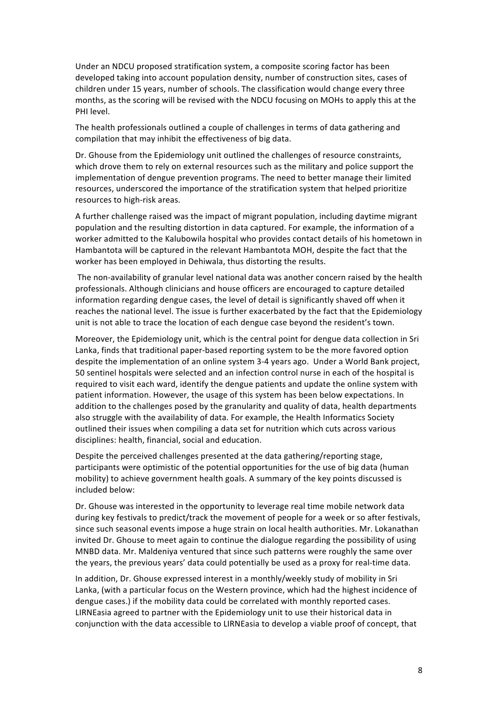Under an NDCU proposed stratification system, a composite scoring factor has been developed taking into account population density, number of construction sites, cases of children under 15 years, number of schools. The classification would change every three months, as the scoring will be revised with the NDCU focusing on MOHs to apply this at the PHI level.

The health professionals outlined a couple of challenges in terms of data gathering and compilation that may inhibit the effectiveness of big data.

Dr. Ghouse from the Epidemiology unit outlined the challenges of resource constraints, which drove them to rely on external resources such as the military and police support the implementation of dengue prevention programs. The need to better manage their limited resources, underscored the importance of the stratification system that helped prioritize resources to high-risk areas.

A further challenge raised was the impact of migrant population, including daytime migrant population and the resulting distortion in data captured. For example, the information of a worker admitted to the Kalubowila hospital who provides contact details of his hometown in Hambantota will be captured in the relevant Hambantota MOH, despite the fact that the worker has been employed in Dehiwala, thus distorting the results.

The non-availability of granular level national data was another concern raised by the health professionals. Although clinicians and house officers are encouraged to capture detailed information regarding dengue cases, the level of detail is significantly shaved off when it reaches the national level. The issue is further exacerbated by the fact that the Epidemiology unit is not able to trace the location of each dengue case beyond the resident's town.

Moreover, the Epidemiology unit, which is the central point for dengue data collection in Sri Lanka, finds that traditional paper-based reporting system to be the more favored option despite the implementation of an online system 3-4 years ago. Under a World Bank project, 50 sentinel hospitals were selected and an infection control nurse in each of the hospital is required to visit each ward, identify the dengue patients and update the online system with patient information. However, the usage of this system has been below expectations. In addition to the challenges posed by the granularity and quality of data, health departments also struggle with the availability of data. For example, the Health Informatics Society outlined their issues when compiling a data set for nutrition which cuts across various disciplines: health, financial, social and education.

Despite the perceived challenges presented at the data gathering/reporting stage. participants were optimistic of the potential opportunities for the use of big data (human mobility) to achieve government health goals. A summary of the key points discussed is included below:

Dr. Ghouse was interested in the opportunity to leverage real time mobile network data during key festivals to predict/track the movement of people for a week or so after festivals, since such seasonal events impose a huge strain on local health authorities. Mr. Lokanathan invited Dr. Ghouse to meet again to continue the dialogue regarding the possibility of using MNBD data. Mr. Maldeniya ventured that since such patterns were roughly the same over the years, the previous years' data could potentially be used as a proxy for real-time data.

In addition, Dr. Ghouse expressed interest in a monthly/weekly study of mobility in Sri Lanka, (with a particular focus on the Western province, which had the highest incidence of dengue cases.) if the mobility data could be correlated with monthly reported cases. LIRNEasia agreed to partner with the Epidemiology unit to use their historical data in conjunction with the data accessible to LIRNEasia to develop a viable proof of concept, that